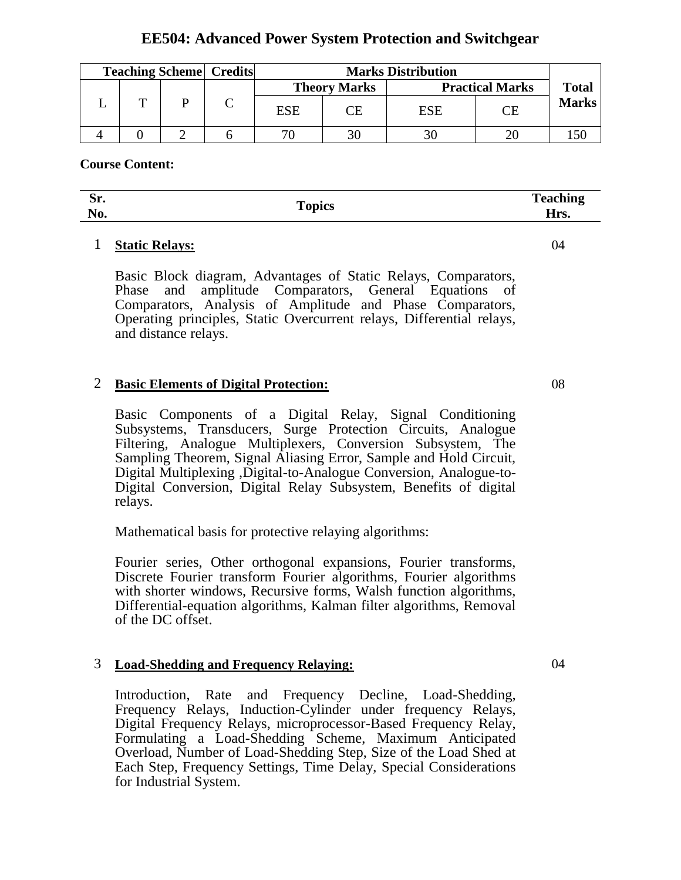# **EE504: Advanced Power System Protection and Switchgear**

| <b>Teaching Scheme   Credits  </b> |   |  | <b>Marks Distribution</b> |    |                        |    |              |
|------------------------------------|---|--|---------------------------|----|------------------------|----|--------------|
|                                    |   |  | <b>Theory Marks</b>       |    | <b>Practical Marks</b> |    | <b>Total</b> |
|                                    | m |  | <b>ESE</b>                | ГF | ESE                    | CЕ | <b>Marks</b> |
|                                    |   |  |                           |    |                        |    |              |

### **Course Content:**

| ∼<br><u>. та</u><br>. JI.<br>$\mathbb{N}$<br><b>INU.</b> | Topics | $\mathbf{T}_{\alpha\alpha}$<br>------<br>$ -$<br>$\mathbf{u}_{\mathbf{w}}$<br><b>TIT2.</b> |
|----------------------------------------------------------|--------|--------------------------------------------------------------------------------------------|
|                                                          |        |                                                                                            |

### 1 **Static Relays:**

Basic Block diagram, Advantages of Static Relays, Comparators, Phase and amplitude Comparators, General Equations of Comparators, Analysis of Amplitude and Phase Comparators, Operating principles, Static Overcurrent relays, Differential relays, and distance relays.

## 2 **Basic Elements of Digital Protection:**

Basic Components of a Digital Relay, Signal Conditioning Subsystems, Transducers, Surge Protection Circuits, Analogue Filtering, Analogue Multiplexers, Conversion Subsystem, The Sampling Theorem, Signal Aliasing Error, Sample and Hold Circuit, Digital Multiplexing ,Digital-to-Analogue Conversion, Analogue-to-Digital Conversion, Digital Relay Subsystem, Benefits of digital relays.

Mathematical basis for protective relaying algorithms:

Fourier series, Other orthogonal expansions, Fourier transforms, Discrete Fourier transform Fourier algorithms, Fourier algorithms with shorter windows, Recursive forms, Walsh function algorithms, Differential-equation algorithms, Kalman filter algorithms, Removal of the DC offset.

### 3 **Load-Shedding and Frequency Relaying:**

Introduction, Rate and Frequency Decline, Load-Shedding, Frequency Relays, Induction-Cylinder under frequency Relays, Digital Frequency Relays, microprocessor-Based Frequency Relay, Formulating a Load-Shedding Scheme, Maximum Anticipated Overload, Number of Load-Shedding Step, Size of the Load Shed at Each Step, Frequency Settings, Time Delay, Special Considerations for Industrial System.

08

04